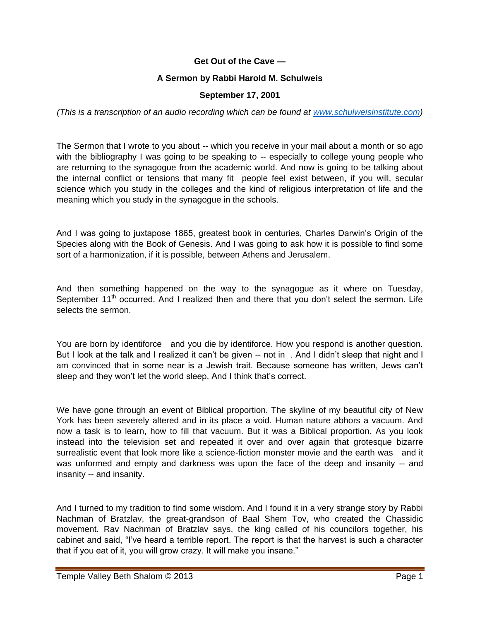## **Get Out of the Cave —**

## **A Sermon by Rabbi Harold M. Schulweis**

## **September 17, 2001**

*(This is a transcription of an audio recording which can be found at [www.schulweisinstitute.com\)](http://www.schulweisinstitute.com/)*

The Sermon that I wrote to you about -- which you receive in your mail about a month or so ago with the bibliography I was going to be speaking to -- especially to college young people who are returning to the synagogue from the academic world. And now is going to be talking about the internal conflict or tensions that many fit people feel exist between, if you will, secular science which you study in the colleges and the kind of religious interpretation of life and the meaning which you study in the synagogue in the schools.

And I was going to juxtapose 1865, greatest book in centuries, Charles Darwin's Origin of the Species along with the Book of Genesis. And I was going to ask how it is possible to find some sort of a harmonization, if it is possible, between Athens and Jerusalem.

And then something happened on the way to the synagogue as it where on Tuesday, September 11<sup>th</sup> occurred. And I realized then and there that you don't select the sermon. Life selects the sermon.

You are born by identiforce and you die by identiforce. How you respond is another question. But I look at the talk and I realized it can't be given -- not in . And I didn't sleep that night and I am convinced that in some near is a Jewish trait. Because someone has written, Jews can't sleep and they won't let the world sleep. And I think that's correct.

We have gone through an event of Biblical proportion. The skyline of my beautiful city of New York has been severely altered and in its place a void. Human nature abhors a vacuum. And now a task is to learn, how to fill that vacuum. But it was a Biblical proportion. As you look instead into the television set and repeated it over and over again that grotesque bizarre surrealistic event that look more like a science-fiction monster movie and the earth was and it was unformed and empty and darkness was upon the face of the deep and insanity -- and insanity -- and insanity.

And I turned to my tradition to find some wisdom. And I found it in a very strange story by Rabbi Nachman of Bratzlav, the great-grandson of Baal Shem Tov, who created the Chassidic movement. Rav Nachman of Bratzlav says, the king called of his councilors together, his cabinet and said, "I've heard a terrible report. The report is that the harvest is such a character that if you eat of it, you will grow crazy. It will make you insane."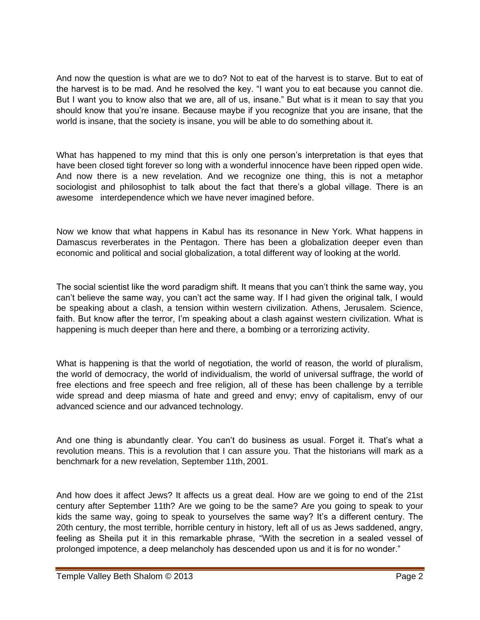And now the question is what are we to do? Not to eat of the harvest is to starve. But to eat of the harvest is to be mad. And he resolved the key. "I want you to eat because you cannot die. But I want you to know also that we are, all of us, insane." But what is it mean to say that you should know that you're insane. Because maybe if you recognize that you are insane, that the world is insane, that the society is insane, you will be able to do something about it.

What has happened to my mind that this is only one person's interpretation is that eyes that have been closed tight forever so long with a wonderful innocence have been ripped open wide. And now there is a new revelation. And we recognize one thing, this is not a metaphor sociologist and philosophist to talk about the fact that there's a global village. There is an awesome interdependence which we have never imagined before.

Now we know that what happens in Kabul has its resonance in New York. What happens in Damascus reverberates in the Pentagon. There has been a globalization deeper even than economic and political and social globalization, a total different way of looking at the world.

The social scientist like the word paradigm shift. It means that you can't think the same way, you can't believe the same way, you can't act the same way. If I had given the original talk, I would be speaking about a clash, a tension within western civilization. Athens, Jerusalem. Science, faith. But know after the terror, I'm speaking about a clash against western civilization. What is happening is much deeper than here and there, a bombing or a terrorizing activity.

What is happening is that the world of negotiation, the world of reason, the world of pluralism, the world of democracy, the world of individualism, the world of universal suffrage, the world of free elections and free speech and free religion, all of these has been challenge by a terrible wide spread and deep miasma of hate and greed and envy; envy of capitalism, envy of our advanced science and our advanced technology.

And one thing is abundantly clear. You can't do business as usual. Forget it. That's what a revolution means. This is a revolution that I can assure you. That the historians will mark as a benchmark for a new revelation, September 11th, 2001.

And how does it affect Jews? It affects us a great deal. How are we going to end of the 21st century after September 11th? Are we going to be the same? Are you going to speak to your kids the same way, going to speak to yourselves the same way? It's a different century. The 20th century, the most terrible, horrible century in history, left all of us as Jews saddened, angry, feeling as Sheila put it in this remarkable phrase, "With the secretion in a sealed vessel of prolonged impotence, a deep melancholy has descended upon us and it is for no wonder."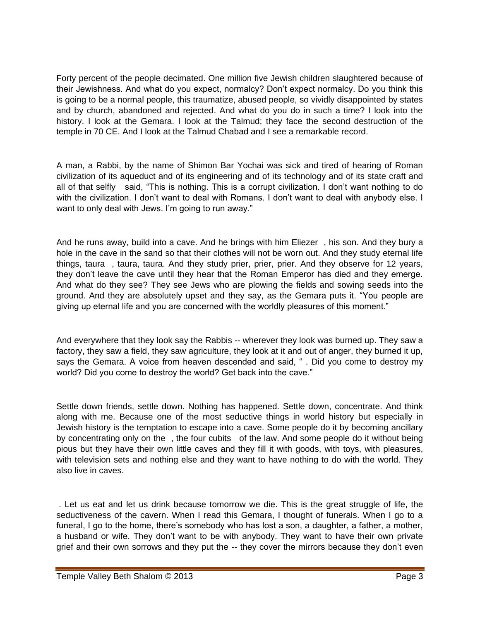Forty percent of the people decimated. One million five Jewish children slaughtered because of their Jewishness. And what do you expect, normalcy? Don't expect normalcy. Do you think this is going to be a normal people, this traumatize, abused people, so vividly disappointed by states and by church, abandoned and rejected. And what do you do in such a time? I look into the history. I look at the Gemara. I look at the Talmud; they face the second destruction of the temple in 70 CE. And I look at the Talmud Chabad and I see a remarkable record.

A man, a Rabbi, by the name of Shimon Bar Yochai was sick and tired of hearing of Roman civilization of its aqueduct and of its engineering and of its technology and of its state craft and all of that selfly said, "This is nothing. This is a corrupt civilization. I don't want nothing to do with the civilization. I don't want to deal with Romans. I don't want to deal with anybody else. I want to only deal with Jews. I'm going to run away."

And he runs away, build into a cave. And he brings with him Eliezer , his son. And they bury a hole in the cave in the sand so that their clothes will not be worn out. And they study eternal life things, taura , taura, taura. And they study prier, prier, prier. And they observe for 12 years, they don't leave the cave until they hear that the Roman Emperor has died and they emerge. And what do they see? They see Jews who are plowing the fields and sowing seeds into the ground. And they are absolutely upset and they say, as the Gemara puts it. "You people are giving up eternal life and you are concerned with the worldly pleasures of this moment."

And everywhere that they look say the Rabbis -- wherever they look was burned up. They saw a factory, they saw a field, they saw agriculture, they look at it and out of anger, they burned it up, says the Gemara. A voice from heaven descended and said, " . Did you come to destroy my world? Did you come to destroy the world? Get back into the cave."

Settle down friends, settle down. Nothing has happened. Settle down, concentrate. And think along with me. Because one of the most seductive things in world history but especially in Jewish history is the temptation to escape into a cave. Some people do it by becoming ancillary by concentrating only on the , the four cubits of the law. And some people do it without being pious but they have their own little caves and they fill it with goods, with toys, with pleasures, with television sets and nothing else and they want to have nothing to do with the world. They also live in caves.

. Let us eat and let us drink because tomorrow we die. This is the great struggle of life, the seductiveness of the cavern. When I read this Gemara, I thought of funerals. When I go to a funeral, I go to the home, there's somebody who has lost a son, a daughter, a father, a mother, a husband or wife. They don't want to be with anybody. They want to have their own private grief and their own sorrows and they put the -- they cover the mirrors because they don't even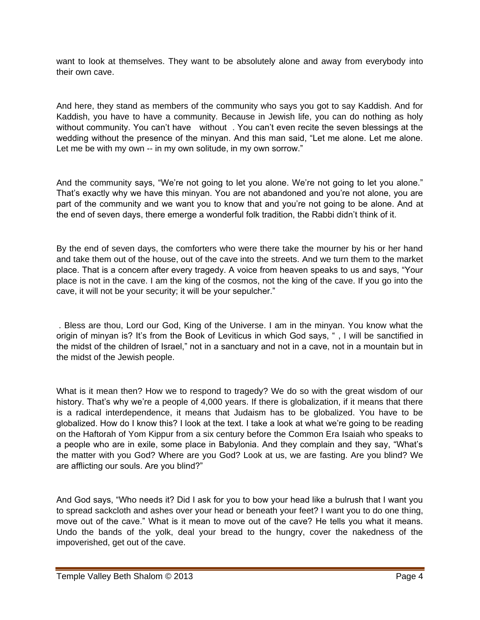want to look at themselves. They want to be absolutely alone and away from everybody into their own cave.

And here, they stand as members of the community who says you got to say Kaddish. And for Kaddish, you have to have a community. Because in Jewish life, you can do nothing as holy without community. You can't have without . You can't even recite the seven blessings at the wedding without the presence of the minyan. And this man said, "Let me alone. Let me alone. Let me be with my own -- in my own solitude, in my own sorrow."

And the community says, "We're not going to let you alone. We're not going to let you alone." That's exactly why we have this minyan. You are not abandoned and you're not alone, you are part of the community and we want you to know that and you're not going to be alone. And at the end of seven days, there emerge a wonderful folk tradition, the Rabbi didn't think of it.

By the end of seven days, the comforters who were there take the mourner by his or her hand and take them out of the house, out of the cave into the streets. And we turn them to the market place. That is a concern after every tragedy. A voice from heaven speaks to us and says, "Your place is not in the cave. I am the king of the cosmos, not the king of the cave. If you go into the cave, it will not be your security; it will be your sepulcher."

. Bless are thou, Lord our God, King of the Universe. I am in the minyan. You know what the origin of minyan is? It's from the Book of Leviticus in which God says, " , I will be sanctified in the midst of the children of Israel," not in a sanctuary and not in a cave, not in a mountain but in the midst of the Jewish people.

What is it mean then? How we to respond to tragedy? We do so with the great wisdom of our history. That's why we're a people of 4,000 years. If there is globalization, if it means that there is a radical interdependence, it means that Judaism has to be globalized. You have to be globalized. How do I know this? I look at the text. I take a look at what we're going to be reading on the Haftorah of Yom Kippur from a six century before the Common Era Isaiah who speaks to a people who are in exile, some place in Babylonia. And they complain and they say, "What's the matter with you God? Where are you God? Look at us, we are fasting. Are you blind? We are afflicting our souls. Are you blind?"

And God says, "Who needs it? Did I ask for you to bow your head like a bulrush that I want you to spread sackcloth and ashes over your head or beneath your feet? I want you to do one thing, move out of the cave." What is it mean to move out of the cave? He tells you what it means. Undo the bands of the yolk, deal your bread to the hungry, cover the nakedness of the impoverished, get out of the cave.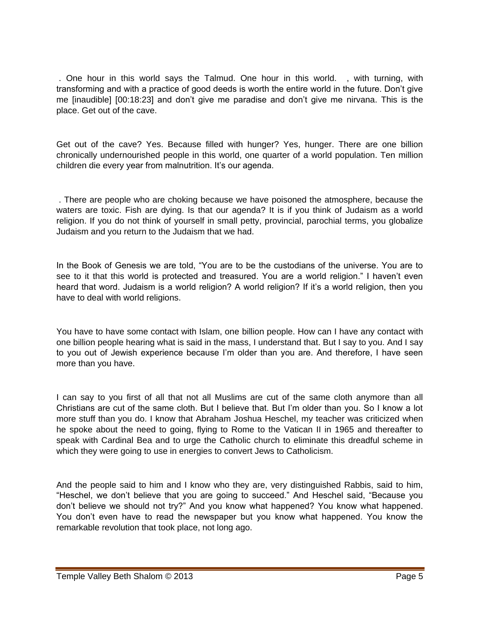. One hour in this world says the Talmud. One hour in this world. , with turning, with transforming and with a practice of good deeds is worth the entire world in the future. Don't give me [inaudible] [00:18:23] and don't give me paradise and don't give me nirvana. This is the place. Get out of the cave.

Get out of the cave? Yes. Because filled with hunger? Yes, hunger. There are one billion chronically undernourished people in this world, one quarter of a world population. Ten million children die every year from malnutrition. It's our agenda.

. There are people who are choking because we have poisoned the atmosphere, because the waters are toxic. Fish are dying. Is that our agenda? It is if you think of Judaism as a world religion. If you do not think of yourself in small petty, provincial, parochial terms, you globalize Judaism and you return to the Judaism that we had.

In the Book of Genesis we are told, "You are to be the custodians of the universe. You are to see to it that this world is protected and treasured. You are a world religion." I haven't even heard that word. Judaism is a world religion? A world religion? If it's a world religion, then you have to deal with world religions.

You have to have some contact with Islam, one billion people. How can I have any contact with one billion people hearing what is said in the mass, I understand that. But I say to you. And I say to you out of Jewish experience because I'm older than you are. And therefore, I have seen more than you have.

I can say to you first of all that not all Muslims are cut of the same cloth anymore than all Christians are cut of the same cloth. But I believe that. But I'm older than you. So I know a lot more stuff than you do. I know that Abraham Joshua Heschel, my teacher was criticized when he spoke about the need to going, flying to Rome to the Vatican II in 1965 and thereafter to speak with Cardinal Bea and to urge the Catholic church to eliminate this dreadful scheme in which they were going to use in energies to convert Jews to Catholicism.

And the people said to him and I know who they are, very distinguished Rabbis, said to him, "Heschel, we don't believe that you are going to succeed." And Heschel said, "Because you don't believe we should not try?" And you know what happened? You know what happened. You don't even have to read the newspaper but you know what happened. You know the remarkable revolution that took place, not long ago.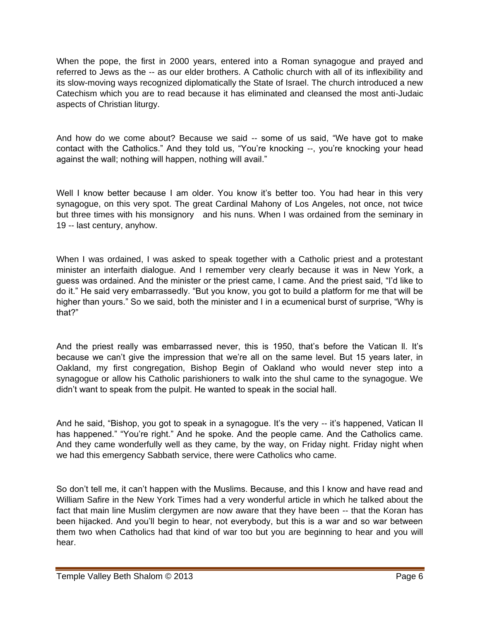When the pope, the first in 2000 years, entered into a Roman synagogue and prayed and referred to Jews as the -- as our elder brothers. A Catholic church with all of its inflexibility and its slow-moving ways recognized diplomatically the State of Israel. The church introduced a new Catechism which you are to read because it has eliminated and cleansed the most anti-Judaic aspects of Christian liturgy.

And how do we come about? Because we said -- some of us said, "We have got to make contact with the Catholics." And they told us, "You're knocking --, you're knocking your head against the wall; nothing will happen, nothing will avail."

Well I know better because I am older. You know it's better too. You had hear in this very synagogue, on this very spot. The great Cardinal Mahony of Los Angeles, not once, not twice but three times with his monsignory and his nuns. When I was ordained from the seminary in 19 -- last century, anyhow.

When I was ordained, I was asked to speak together with a Catholic priest and a protestant minister an interfaith dialogue. And I remember very clearly because it was in New York, a guess was ordained. And the minister or the priest came, I came. And the priest said, "I'd like to do it." He said very embarrassedly. "But you know, you got to build a platform for me that will be higher than yours." So we said, both the minister and I in a ecumenical burst of surprise, "Why is that?"

And the priest really was embarrassed never, this is 1950, that's before the Vatican ll. It's because we can't give the impression that we're all on the same level. But 15 years later, in Oakland, my first congregation, Bishop Begin of Oakland who would never step into a synagogue or allow his Catholic parishioners to walk into the shul came to the synagogue. We didn't want to speak from the pulpit. He wanted to speak in the social hall.

And he said, "Bishop, you got to speak in a synagogue. It's the very -- it's happened, Vatican II has happened." "You're right." And he spoke. And the people came. And the Catholics came. And they came wonderfully well as they came, by the way, on Friday night. Friday night when we had this emergency Sabbath service, there were Catholics who came.

So don't tell me, it can't happen with the Muslims. Because, and this I know and have read and William Safire in the New York Times had a very wonderful article in which he talked about the fact that main line Muslim clergymen are now aware that they have been -- that the Koran has been hijacked. And you'll begin to hear, not everybody, but this is a war and so war between them two when Catholics had that kind of war too but you are beginning to hear and you will hear.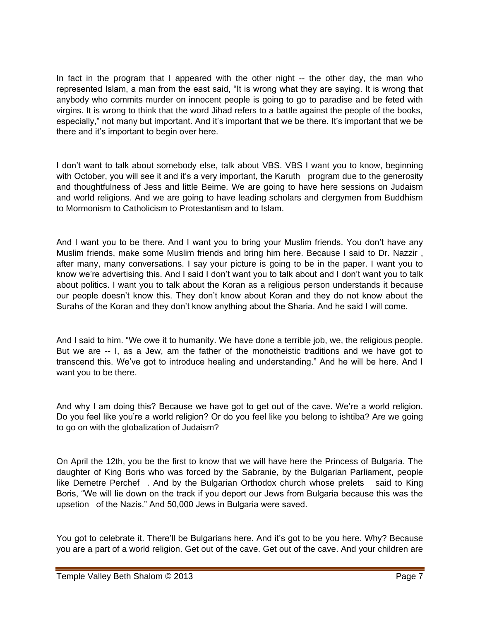In fact in the program that I appeared with the other night -- the other day, the man who represented Islam, a man from the east said, "It is wrong what they are saying. It is wrong that anybody who commits murder on innocent people is going to go to paradise and be feted with virgins. It is wrong to think that the word Jihad refers to a battle against the people of the books, especially," not many but important. And it's important that we be there. It's important that we be there and it's important to begin over here.

I don't want to talk about somebody else, talk about VBS. VBS I want you to know, beginning with October, you will see it and it's a very important, the Karuth program due to the generosity and thoughtfulness of Jess and little Beime. We are going to have here sessions on Judaism and world religions. And we are going to have leading scholars and clergymen from Buddhism to Mormonism to Catholicism to Protestantism and to Islam.

And I want you to be there. And I want you to bring your Muslim friends. You don't have any Muslim friends, make some Muslim friends and bring him here. Because I said to Dr. Nazzir , after many, many conversations. I say your picture is going to be in the paper. I want you to know we're advertising this. And I said I don't want you to talk about and I don't want you to talk about politics. I want you to talk about the Koran as a religious person understands it because our people doesn't know this. They don't know about Koran and they do not know about the Surahs of the Koran and they don't know anything about the Sharia. And he said I will come.

And I said to him. "We owe it to humanity. We have done a terrible job, we, the religious people. But we are -- I, as a Jew, am the father of the monotheistic traditions and we have got to transcend this. We've got to introduce healing and understanding." And he will be here. And I want you to be there.

And why I am doing this? Because we have got to get out of the cave. We're a world religion. Do you feel like you're a world religion? Or do you feel like you belong to ishtiba? Are we going to go on with the globalization of Judaism?

On April the 12th, you be the first to know that we will have here the Princess of Bulgaria. The daughter of King Boris who was forced by the Sabranie, by the Bulgarian Parliament, people like Demetre Perchef . And by the Bulgarian Orthodox church whose prelets said to King Boris, "We will lie down on the track if you deport our Jews from Bulgaria because this was the upsetion of the Nazis." And 50,000 Jews in Bulgaria were saved.

You got to celebrate it. There'll be Bulgarians here. And it's got to be you here. Why? Because you are a part of a world religion. Get out of the cave. Get out of the cave. And your children are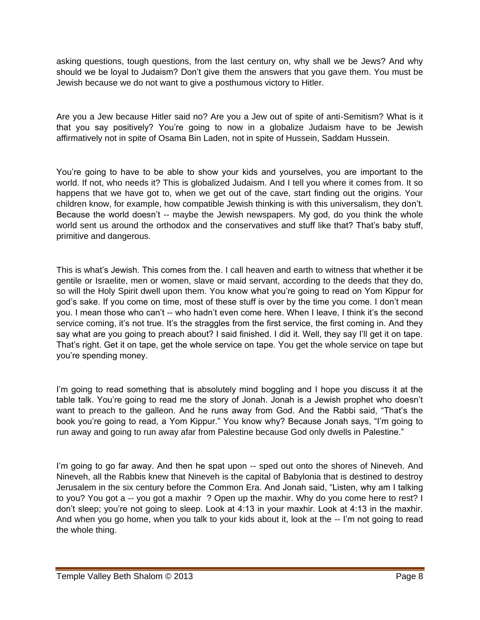asking questions, tough questions, from the last century on, why shall we be Jews? And why should we be loyal to Judaism? Don't give them the answers that you gave them. You must be Jewish because we do not want to give a posthumous victory to Hitler.

Are you a Jew because Hitler said no? Are you a Jew out of spite of anti-Semitism? What is it that you say positively? You're going to now in a globalize Judaism have to be Jewish affirmatively not in spite of Osama Bin Laden, not in spite of Hussein, Saddam Hussein.

You're going to have to be able to show your kids and yourselves, you are important to the world. If not, who needs it? This is globalized Judaism. And I tell you where it comes from. It so happens that we have got to, when we get out of the cave, start finding out the origins. Your children know, for example, how compatible Jewish thinking is with this universalism, they don't. Because the world doesn't -- maybe the Jewish newspapers. My god, do you think the whole world sent us around the orthodox and the conservatives and stuff like that? That's baby stuff, primitive and dangerous.

This is what's Jewish. This comes from the. I call heaven and earth to witness that whether it be gentile or Israelite, men or women, slave or maid servant, according to the deeds that they do, so will the Holy Spirit dwell upon them. You know what you're going to read on Yom Kippur for god's sake. If you come on time, most of these stuff is over by the time you come. I don't mean you. I mean those who can't -- who hadn't even come here. When I leave, I think it's the second service coming, it's not true. It's the straggles from the first service, the first coming in. And they say what are you going to preach about? I said finished. I did it. Well, they say I'll get it on tape. That's right. Get it on tape, get the whole service on tape. You get the whole service on tape but you're spending money.

I'm going to read something that is absolutely mind boggling and I hope you discuss it at the table talk. You're going to read me the story of Jonah. Jonah is a Jewish prophet who doesn't want to preach to the galleon. And he runs away from God. And the Rabbi said, "That's the book you're going to read, a Yom Kippur." You know why? Because Jonah says, "I'm going to run away and going to run away afar from Palestine because God only dwells in Palestine."

I'm going to go far away. And then he spat upon -- sped out onto the shores of Nineveh. And Nineveh, all the Rabbis knew that Nineveh is the capital of Babylonia that is destined to destroy Jerusalem in the six century before the Common Era. And Jonah said, "Listen, why am I talking to you? You got a -- you got a maxhir ? Open up the maxhir. Why do you come here to rest? I don't sleep; you're not going to sleep. Look at 4:13 in your maxhir. Look at 4:13 in the maxhir. And when you go home, when you talk to your kids about it, look at the -- I'm not going to read the whole thing.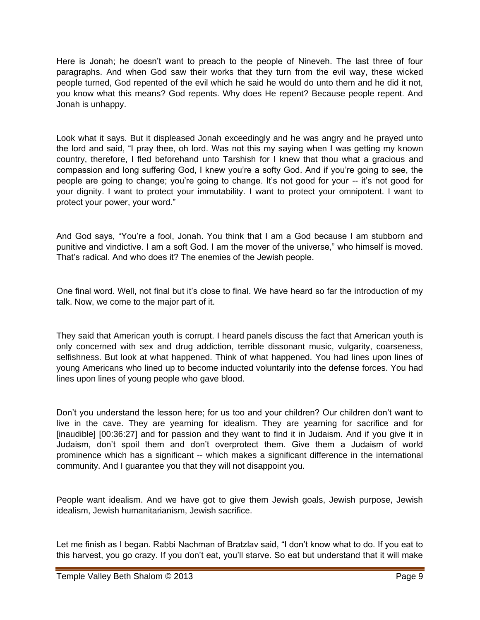Here is Jonah; he doesn't want to preach to the people of Nineveh. The last three of four paragraphs. And when God saw their works that they turn from the evil way, these wicked people turned, God repented of the evil which he said he would do unto them and he did it not, you know what this means? God repents. Why does He repent? Because people repent. And Jonah is unhappy.

Look what it says. But it displeased Jonah exceedingly and he was angry and he prayed unto the lord and said, "I pray thee, oh lord. Was not this my saying when I was getting my known country, therefore, I fled beforehand unto Tarshish for I knew that thou what a gracious and compassion and long suffering God, I knew you're a softy God. And if you're going to see, the people are going to change; you're going to change. It's not good for your -- it's not good for your dignity. I want to protect your immutability. I want to protect your omnipotent. I want to protect your power, your word."

And God says, "You're a fool, Jonah. You think that I am a God because I am stubborn and punitive and vindictive. I am a soft God. I am the mover of the universe," who himself is moved. That's radical. And who does it? The enemies of the Jewish people.

One final word. Well, not final but it's close to final. We have heard so far the introduction of my talk. Now, we come to the major part of it.

They said that American youth is corrupt. I heard panels discuss the fact that American youth is only concerned with sex and drug addiction, terrible dissonant music, vulgarity, coarseness, selfishness. But look at what happened. Think of what happened. You had lines upon lines of young Americans who lined up to become inducted voluntarily into the defense forces. You had lines upon lines of young people who gave blood.

Don't you understand the lesson here; for us too and your children? Our children don't want to live in the cave. They are yearning for idealism. They are yearning for sacrifice and for [inaudible] [00:36:27] and for passion and they want to find it in Judaism. And if you give it in Judaism, don't spoil them and don't overprotect them. Give them a Judaism of world prominence which has a significant -- which makes a significant difference in the international community. And I guarantee you that they will not disappoint you.

People want idealism. And we have got to give them Jewish goals, Jewish purpose, Jewish idealism, Jewish humanitarianism, Jewish sacrifice.

Let me finish as I began. Rabbi Nachman of Bratzlav said, "I don't know what to do. If you eat to this harvest, you go crazy. If you don't eat, you'll starve. So eat but understand that it will make